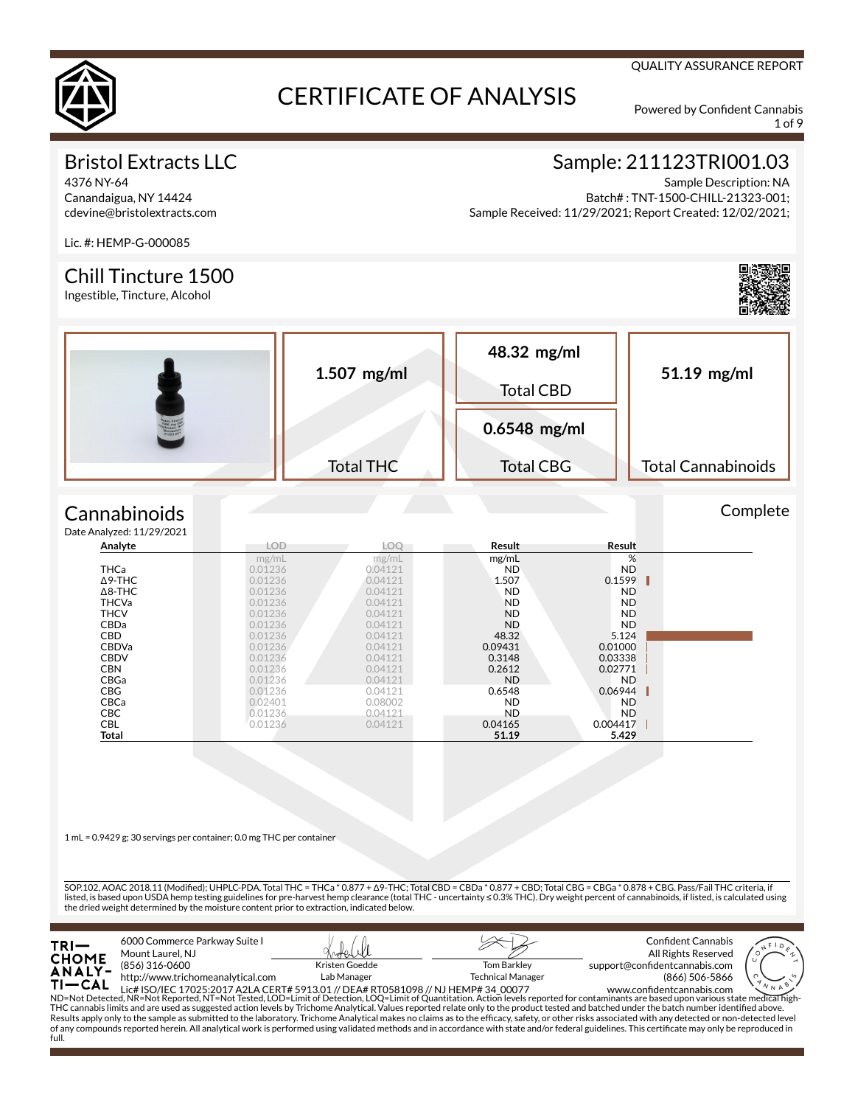

1 of 9

QUALITY ASSURANCE REPORT

# Bristol Extracts LLC

4376 NY-64 Canandaigua, NY 14424 cdevine@bristolextracts.com

# Sample: 211123TRI001.03

Sample Description: NA Batch# : TNT-1500-CHILL-21323-001; Sample Received: 11/29/2021; Report Created: 12/02/2021;

Lic. #: HEMP-G-000085

#### Chill Tincture 1500

Ingestible, Tincture, Alcohol



Complete



#### **Cannabinoids**  $Data$

| e Analyzed: 11/29/2021 |         |            |           |           |  |
|------------------------|---------|------------|-----------|-----------|--|
| Analyte                | LOD     | <b>LOO</b> | Result    | Result    |  |
|                        | mg/mL   | mg/mL      | mg/mL     | %         |  |
| <b>THCa</b>            | 0.01236 | 0.04121    | ND.       | ND.       |  |
| $\Delta$ 9-THC         | 0.01236 | 0.04121    | 1.507     | 0.1599    |  |
| $\Delta$ 8-THC         | 0.01236 | 0.04121    | <b>ND</b> | <b>ND</b> |  |
| <b>THCVa</b>           | 0.01236 | 0.04121    | <b>ND</b> | ND.       |  |
| <b>THCV</b>            | 0.01236 | 0.04121    | <b>ND</b> | ND.       |  |
| <b>CBDa</b>            | 0.01236 | 0.04121    | <b>ND</b> | ND.       |  |
| <b>CBD</b>             | 0.01236 | 0.04121    | 48.32     | 5.124     |  |
| <b>CBDVa</b>           | 0.01236 | 0.04121    | 0.09431   | 0.01000   |  |
| <b>CBDV</b>            | 0.01236 | 0.04121    | 0.3148    | 0.03338   |  |
| <b>CBN</b>             | 0.01236 | 0.04121    | 0.2612    | 0.02771   |  |
| CBGa                   | 0.01236 | 0.04121    | <b>ND</b> | ND.       |  |
| <b>CBG</b>             | 0.01236 | 0.04121    | 0.6548    | 0.06944   |  |
| <b>CBCa</b>            | 0.02401 | 0.08002    | <b>ND</b> | ND.       |  |
| <b>CBC</b>             | 0.01236 | 0.04121    | <b>ND</b> | ND.       |  |
| <b>CBL</b>             | 0.01236 | 0.04121    | 0.04165   | 0.004417  |  |
| Total                  |         |            | 51.19     | 5.429     |  |

1 mL = 0.9429 g; 30 servings per container; 0.0 mg THC per container

SOP.102, AOAC 2018.11 (Modified); UHPLC-PDA. Total THC = THCa \* 0.877 + Δ9-THC; Total CBD = CBDa \* 0.877 + CBD; Total CBG = CBGa \* 0.878 + CBG. Pass/Fail THC criteria, if listed, is based upon USDA hemp testing guidelines for pre-harvest hemp clearance (total THC - uncertainty ≤ 0.3% THC). Dry weight percent of cannabinoids, if listed, is calculated using the dried weight determined by the moisture content prior to extraction, indicated below.

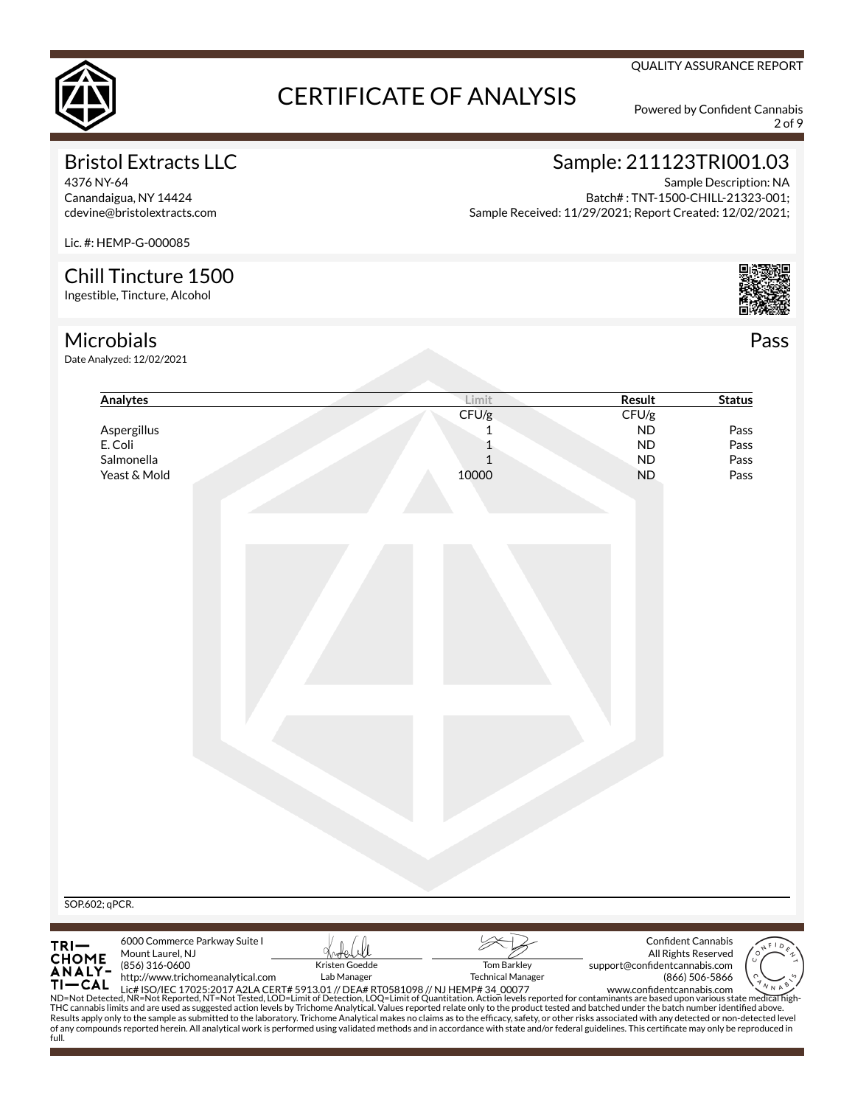

2 of 9

QUALITY ASSURANCE REPORT

# Bristol Extracts LLC

4376 NY-64 Canandaigua, NY 14424 cdevine@bristolextracts.com

# Sample: 211123TRI001.03

Sample Description: NA Batch# : TNT-1500-CHILL-21323-001; Sample Received: 11/29/2021; Report Created: 12/02/2021;

Lic. #: HEMP-G-000085

# Chill Tincture 1500

Ingestible, Tincture, Alcohol

### Microbials

full.

Date Analyzed: 12/02/2021

| Analytes                                           | Limit                                                                                                                                                                                                                                                                                                                                                                                                                        | <b>Result</b>                 | <b>Status</b>       |
|----------------------------------------------------|------------------------------------------------------------------------------------------------------------------------------------------------------------------------------------------------------------------------------------------------------------------------------------------------------------------------------------------------------------------------------------------------------------------------------|-------------------------------|---------------------|
|                                                    | CFU/g                                                                                                                                                                                                                                                                                                                                                                                                                        | CFU/g                         |                     |
| Aspergillus                                        | 1                                                                                                                                                                                                                                                                                                                                                                                                                            | <b>ND</b>                     | Pass                |
| E. Coli                                            | 1                                                                                                                                                                                                                                                                                                                                                                                                                            | <b>ND</b>                     | Pass                |
| Salmonella                                         | $\mathbf{1}$                                                                                                                                                                                                                                                                                                                                                                                                                 | <b>ND</b>                     | Pass                |
| Yeast & Mold                                       | 10000                                                                                                                                                                                                                                                                                                                                                                                                                        | <b>ND</b>                     | Pass                |
|                                                    |                                                                                                                                                                                                                                                                                                                                                                                                                              |                               |                     |
|                                                    |                                                                                                                                                                                                                                                                                                                                                                                                                              |                               |                     |
|                                                    |                                                                                                                                                                                                                                                                                                                                                                                                                              |                               |                     |
|                                                    |                                                                                                                                                                                                                                                                                                                                                                                                                              |                               |                     |
|                                                    |                                                                                                                                                                                                                                                                                                                                                                                                                              |                               |                     |
|                                                    |                                                                                                                                                                                                                                                                                                                                                                                                                              |                               |                     |
|                                                    |                                                                                                                                                                                                                                                                                                                                                                                                                              |                               |                     |
|                                                    |                                                                                                                                                                                                                                                                                                                                                                                                                              |                               |                     |
|                                                    |                                                                                                                                                                                                                                                                                                                                                                                                                              |                               |                     |
|                                                    |                                                                                                                                                                                                                                                                                                                                                                                                                              |                               |                     |
|                                                    |                                                                                                                                                                                                                                                                                                                                                                                                                              |                               |                     |
| SOP.602; qPCR.                                     |                                                                                                                                                                                                                                                                                                                                                                                                                              |                               |                     |
| 6000 Commerce Parkway Suite I                      |                                                                                                                                                                                                                                                                                                                                                                                                                              |                               | Confident Cannabis  |
| Mount Laurel, NJ                                   |                                                                                                                                                                                                                                                                                                                                                                                                                              |                               | All Rights Reserved |
| TRI—<br>CHOME<br>ANALY-<br>(856) 316-0600          | Kristen Goedde<br><b>Tom Barkley</b>                                                                                                                                                                                                                                                                                                                                                                                         | support@confidentcannabis.com |                     |
| http://www.trichomeanalytical.com<br><b>TI-CAL</b> | Lab Manager<br><b>Technical Manager</b>                                                                                                                                                                                                                                                                                                                                                                                      |                               | (866) 506-5866      |
|                                                    | 11 CAL Lic# ISO/IEC 17025:2017 A2LA CERT# 5913.01 // DEA# RT0581098 // NJ HEMP# 34 00077 www.confidentcannabis.com www.confidentcannabis.com www.confidentcannabis.com www.confidentcannabis.com www.confidentcannabis.com ND=<br>THC cannabis limits and are used as suggested action levels by Trichome Analytical. Values reported relate only to the product tested and batched under the batch number identified above. |                               |                     |
|                                                    |                                                                                                                                                                                                                                                                                                                                                                                                                              |                               |                     |
|                                                    | Results apply only to the sample as submitted to the laboratory. Trichome Analytical makes no claims as to the efficacy, safety, or other risks associated with any detected or non-detected level<br>of any compounds reported herein. All analytical work is performed using validated methods and in accordance with state and/or federal guidelines. This certificate may only be reproduced in                          |                               |                     |

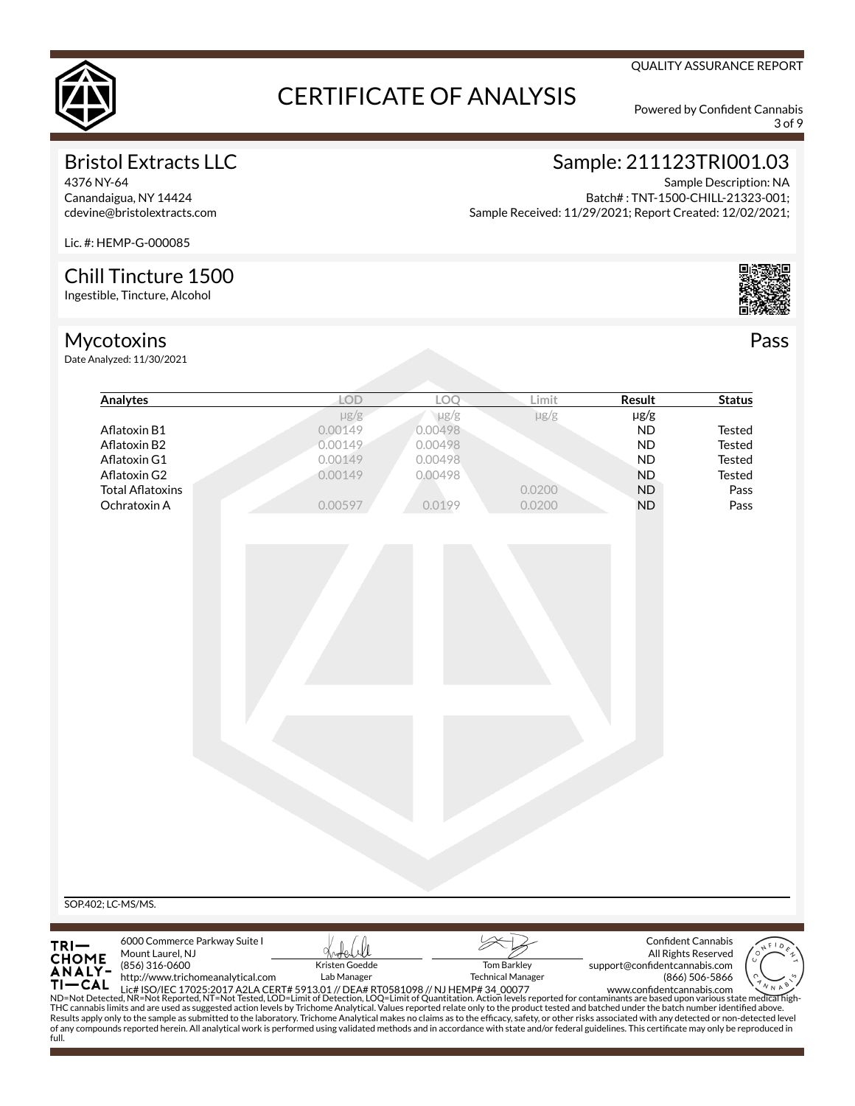

**Analytes LOD LOQ Limit Result Status**

3 of 9

# Bristol Extracts LLC

4376 NY-64 Canandaigua, NY 14424 cdevine@bristolextracts.com

#### Sample: 211123TRI001.03 Sample Description: NA

Batch# : TNT-1500-CHILL-21323-001; Sample Received: 11/29/2021; Report Created: 12/02/2021;

Lic. #: HEMP-G-000085

## Chill Tincture 1500

Ingestible, Tincture, Alcohol

# Mycotoxins

Date Analyzed: 11/30/2021



| Aflatoxin B1                                                                                                                                                                                                                                                                                                                                                                                                                                                                                                                                                                                                                                                                                                                                                                                                                                                                                                                 |                                                                    | $\mu$ g/g<br>0.00149<br>0.00149 | $\mu$ g/g<br>0.00498<br>0.00498 | $\mu$ g/g                                      | $\mu$ g/g<br><b>ND</b>        | <b>Tested</b>                                                      |
|------------------------------------------------------------------------------------------------------------------------------------------------------------------------------------------------------------------------------------------------------------------------------------------------------------------------------------------------------------------------------------------------------------------------------------------------------------------------------------------------------------------------------------------------------------------------------------------------------------------------------------------------------------------------------------------------------------------------------------------------------------------------------------------------------------------------------------------------------------------------------------------------------------------------------|--------------------------------------------------------------------|---------------------------------|---------------------------------|------------------------------------------------|-------------------------------|--------------------------------------------------------------------|
| Aflatoxin B2<br>Aflatoxin G1                                                                                                                                                                                                                                                                                                                                                                                                                                                                                                                                                                                                                                                                                                                                                                                                                                                                                                 |                                                                    | 0.00149                         | 0.00498                         |                                                | <b>ND</b><br><b>ND</b>        | <b>Tested</b><br><b>Tested</b>                                     |
| Aflatoxin G2                                                                                                                                                                                                                                                                                                                                                                                                                                                                                                                                                                                                                                                                                                                                                                                                                                                                                                                 |                                                                    | 0.00149                         | 0.00498                         |                                                | <b>ND</b>                     | <b>Tested</b>                                                      |
| <b>Total Aflatoxins</b><br>Ochratoxin A                                                                                                                                                                                                                                                                                                                                                                                                                                                                                                                                                                                                                                                                                                                                                                                                                                                                                      |                                                                    | 0.00597                         | 0.0199                          | 0.0200<br>0.0200                               | <b>ND</b><br><b>ND</b>        | Pass<br>Pass                                                       |
|                                                                                                                                                                                                                                                                                                                                                                                                                                                                                                                                                                                                                                                                                                                                                                                                                                                                                                                              |                                                                    |                                 |                                 |                                                |                               |                                                                    |
| SOP.402; LC-MS/MS.                                                                                                                                                                                                                                                                                                                                                                                                                                                                                                                                                                                                                                                                                                                                                                                                                                                                                                           |                                                                    |                                 |                                 |                                                |                               |                                                                    |
| TRI-<br>CHOME<br>ANALY-<br>Mount Laurel, NJ<br>(856) 316-0600<br>$TI-CAL$<br>11 CAL Lic# ISO/IEC 17025:2017 A2LA CERT# 5913.01 // DEA# RT0581098 // NJ HEMP# 34 00077<br>ND=Not Detected, NR=Not Reported, NT=Not Tested, LOD=Limit of Detection, LOQ=Limit of Quantitation. Action levels reported for contam<br>THC cannabis limits and are used as suggested action levels by Trichome Analytical. Values reported relate only to the product tested and batched under the batch number identified above.<br>Results apply only to the sample as submitted to the laboratory. Trichome Analytical makes no claims as to the efficacy, safety, or other risks associated with any detected or non-detected level<br>of any compounds reported herein. All analytical work is performed using validated methods and in accordance with state and/or federal guidelines. This certificate may only be reproduced in<br>full. | 6000 Commerce Parkway Suite I<br>http://www.trichomeanalytical.com | Kristen Goedde<br>Lab Manager   |                                 | <b>Tom Barkley</b><br><b>Technical Manager</b> | support@confidentcannabis.com | <b>Confident Cannabis</b><br>All Rights Reserved<br>(866) 506-5866 |



QUALITY ASSURANCE REPORT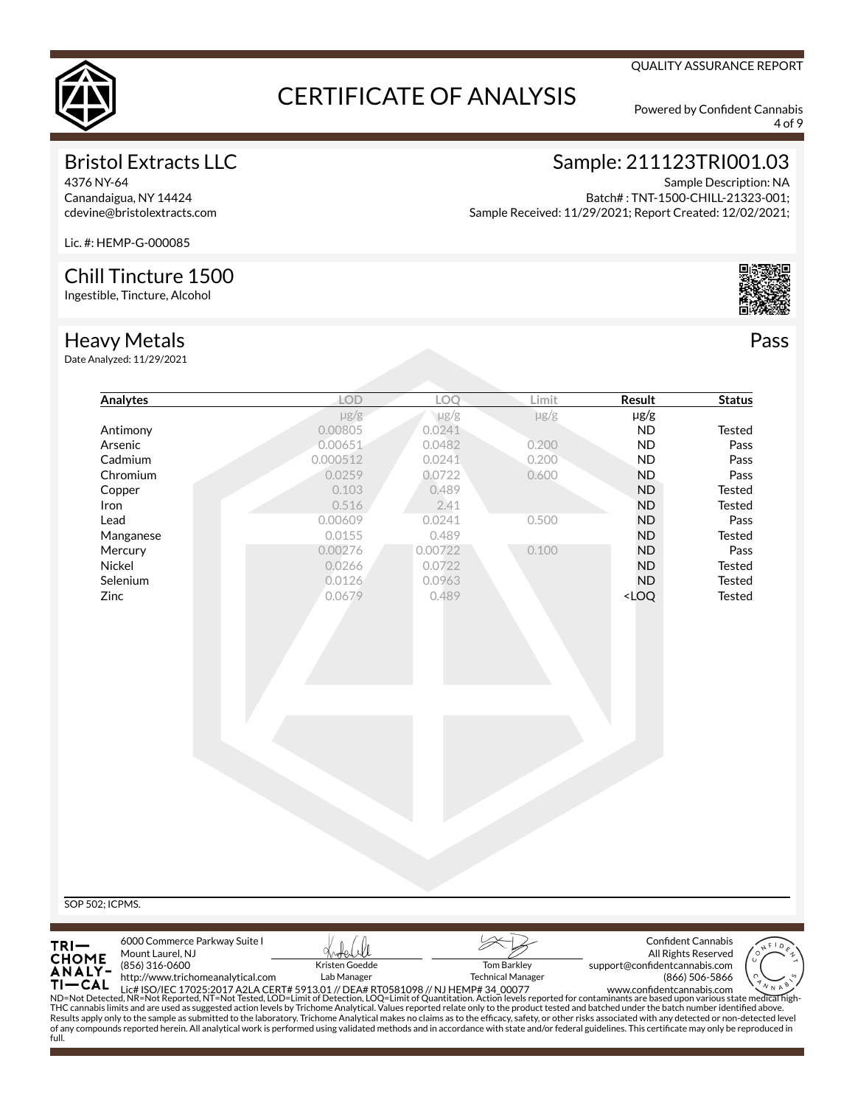

4 of 9

QUALITY ASSURANCE REPORT

## Bristol Extracts LLC

4376 NY-64 Canandaigua, NY 14424 cdevine@bristolextracts.com

# Sample: 211123TRI001.03

Sample Description: NA Batch# : TNT-1500-CHILL-21323-001; Sample Received: 11/29/2021; Report Created: 12/02/2021;

Lic. #: HEMP-G-000085

### Chill Tincture 1500

Ingestible, Tincture, Alcohol

#### Heavy Metals

Date Analyzed: 1

| <b>Analytes</b> | LOD       | LOQ       | Limit     | Result                             | <b>Status</b> |
|-----------------|-----------|-----------|-----------|------------------------------------|---------------|
|                 | $\mu$ g/g | $\mu$ g/g | $\mu$ g/g | $\mu$ g/g                          |               |
| Antimony        | 0.00805   | 0.0241    |           | ND                                 | Tested        |
| Arsenic         | 0.00651   | 0.0482    | 0.200     | <b>ND</b>                          | Pass          |
| Cadmium         | 0.000512  | 0.0241    | 0.200     | <b>ND</b>                          | Pass          |
| Chromium        | 0.0259    | 0.0722    | 0.600     | <b>ND</b>                          | Pass          |
| Copper          | 0.103     | 0.489     |           | <b>ND</b>                          | Tested        |
| Iron            | 0.516     | 2.41      |           | <b>ND</b>                          | Tested        |
| Lead            | 0.00609   | 0.0241    | 0.500     | <b>ND</b>                          | Pass          |
| Manganese       | 0.0155    | 0.489     |           | <b>ND</b>                          | Tested        |
| Mercury         | 0.00276   | 0.00722   | 0.100     | <b>ND</b>                          | Pass          |
| Nickel          | 0.0266    | 0.0722    |           | <b>ND</b>                          | Tested        |
| Selenium        | 0.0126    | 0.0963    |           | <b>ND</b>                          | Tested        |
| Zinc            | 0.0679    | 0.489     |           | <loq< td=""><td>Tested</td></loq<> | Tested        |
|                 |           |           |           |                                    |               |

SOP 502; ICPMS.



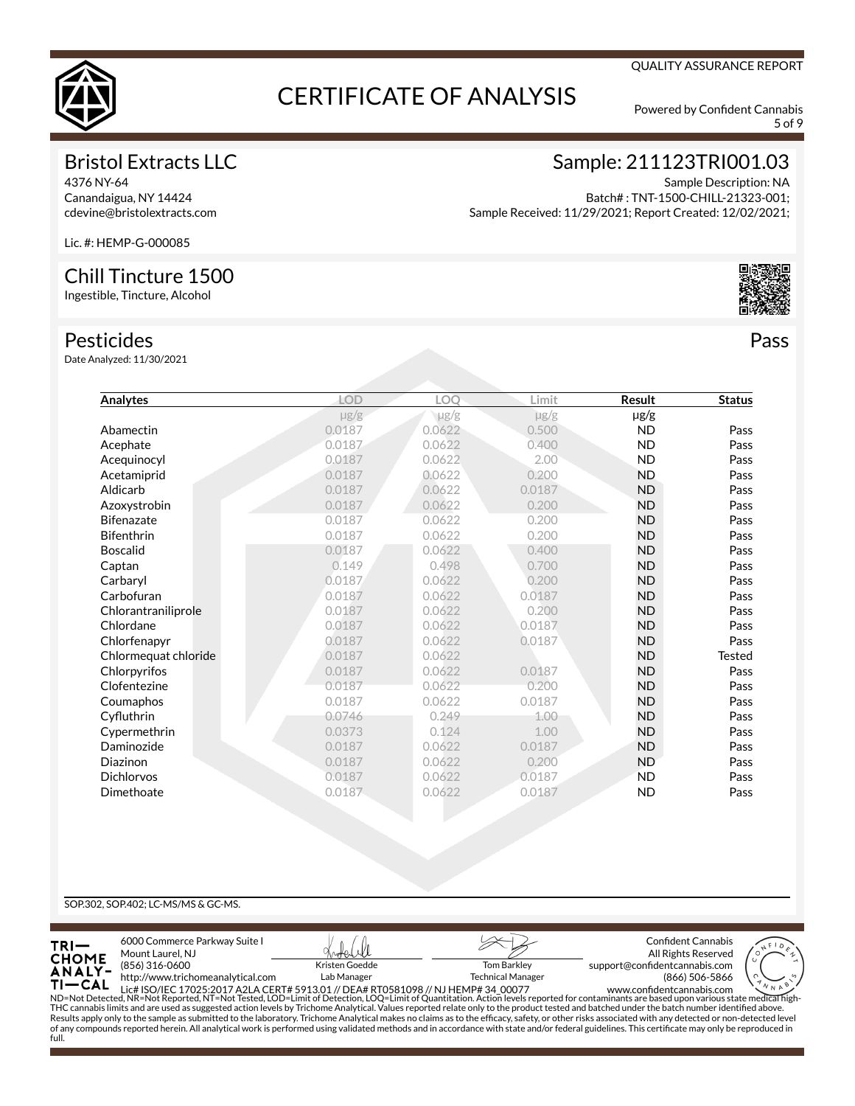

5 of 9

QUALITY ASSURANCE REPORT

## Bristol Extracts LLC

4376 NY-64 Canandaigua, NY 14424 cdevine@bristolextracts.com

# Sample: 211123TRI001.03

Sample Description: NA Batch# : TNT-1500-CHILL-21323-001; Sample Received: 11/29/2021; Report Created: 12/02/2021;

Lic. #: HEMP-G-000085

### Chill Tincture 1500

Ingestible, Tincture, Alcohol

#### Pesticides

Date Analyzed: 11/30/2021

| Analytes             | LOD       | LOO       | Limit     | <b>Result</b> | <b>Status</b> |
|----------------------|-----------|-----------|-----------|---------------|---------------|
|                      | $\mu$ g/g | $\mu$ g/g | $\mu$ g/g | $\mu$ g/g     |               |
| Abamectin            | 0.0187    | 0.0622    | 0.500     | <b>ND</b>     | Pass          |
| Acephate             | 0.0187    | 0.0622    | 0.400     | <b>ND</b>     | Pass          |
| Acequinocyl          | 0.0187    | 0.0622    | 2.00      | <b>ND</b>     | Pass          |
| Acetamiprid          | 0.0187    | 0.0622    | 0.200     | <b>ND</b>     | Pass          |
| Aldicarb             | 0.0187    | 0.0622    | 0.0187    | <b>ND</b>     | Pass          |
| Azoxystrobin         | 0.0187    | 0.0622    | 0.200     | <b>ND</b>     | Pass          |
| <b>Bifenazate</b>    | 0.0187    | 0.0622    | 0.200     | <b>ND</b>     | Pass          |
| <b>Bifenthrin</b>    | 0.0187    | 0.0622    | 0.200     | <b>ND</b>     | Pass          |
| <b>Boscalid</b>      | 0.0187    | 0.0622    | 0.400     | <b>ND</b>     | Pass          |
| Captan               | 0.149     | 0.498     | 0.700     | <b>ND</b>     | Pass          |
| Carbaryl             | 0.0187    | 0.0622    | 0.200     | <b>ND</b>     | Pass          |
| Carbofuran           | 0.0187    | 0.0622    | 0.0187    | <b>ND</b>     | Pass          |
| Chlorantraniliprole  | 0.0187    | 0.0622    | 0.200     | <b>ND</b>     | Pass          |
| Chlordane            | 0.0187    | 0.0622    | 0.0187    | <b>ND</b>     | Pass          |
| Chlorfenapyr         | 0.0187    | 0.0622    | 0.0187    | <b>ND</b>     | Pass          |
| Chlormequat chloride | 0.0187    | 0.0622    |           | <b>ND</b>     | <b>Tested</b> |
| Chlorpyrifos         | 0.0187    | 0.0622    | 0.0187    | <b>ND</b>     | Pass          |
| Clofentezine         | 0.0187    | 0.0622    | 0.200     | <b>ND</b>     | Pass          |
| Coumaphos            | 0.0187    | 0.0622    | 0.0187    | <b>ND</b>     | Pass          |
| Cyfluthrin           | 0.0746    | 0.249     | 1.00      | <b>ND</b>     | Pass          |
| Cypermethrin         | 0.0373    | 0.124     | 1.00      | <b>ND</b>     | Pass          |
| Daminozide           | 0.0187    | 0.0622    | 0.0187    | <b>ND</b>     | Pass          |
| Diazinon             | 0.0187    | 0.0622    | 0.200     | <b>ND</b>     | Pass          |
| <b>Dichlorvos</b>    | 0.0187    | 0.0622    | 0.0187    | <b>ND</b>     | Pass          |
| Dimethoate           | 0.0187    | 0.0622    | 0.0187    | <b>ND</b>     | Pass          |
|                      |           |           |           |               |               |

#### SOP.302, SOP.402; LC-MS/MS & GC-MS.



of any compounds reported herein. All analytical work is performed using validated methods and in accordance with state and/or federal guidelines. This certificate may only be reproduced in full.

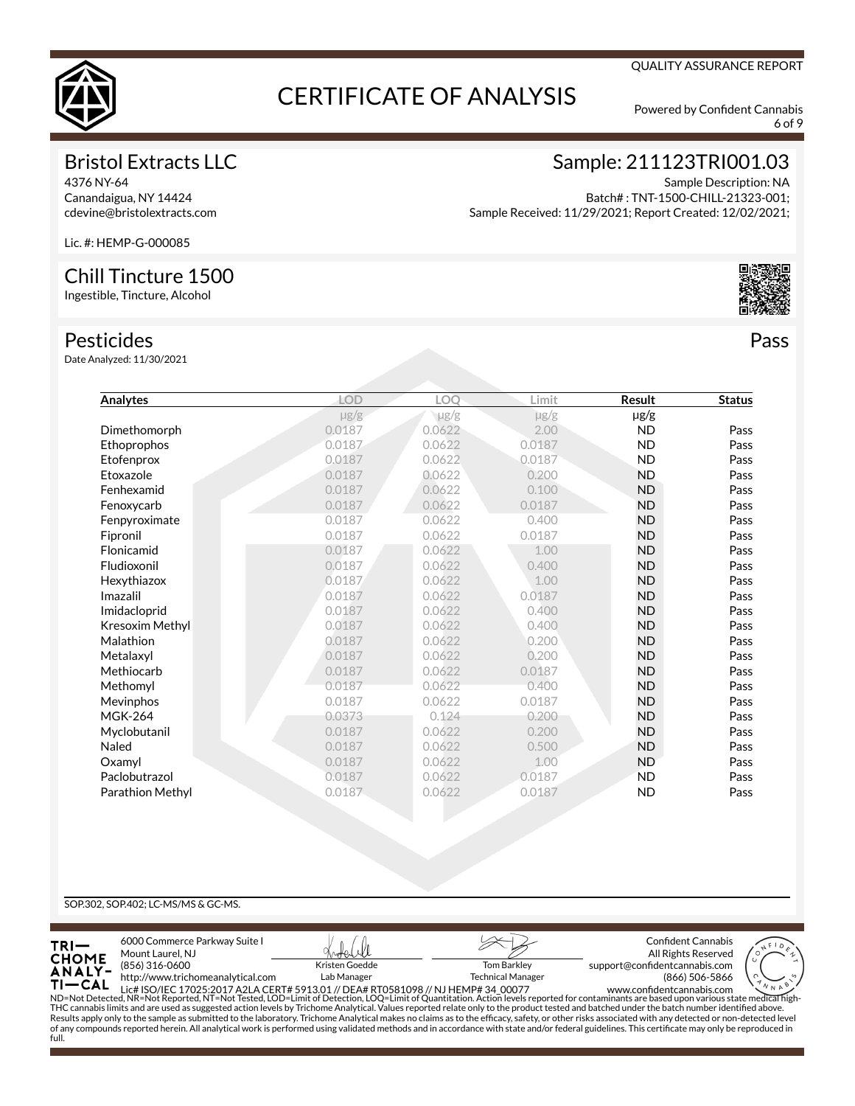

6 of 9

QUALITY ASSURANCE REPORT

## Bristol Extracts LLC

4376 NY-64 Canandaigua, NY 14424 cdevine@bristolextracts.com

# Sample: 211123TRI001.03

Sample Description: NA Batch# : TNT-1500-CHILL-21323-001; Sample Received: 11/29/2021; Report Created: 12/02/2021;

Lic. #: HEMP-G-000085

### Chill Tincture 1500

Ingestible, Tincture, Alcohol

#### Pesticides

Date Analyzed: 11/30/2021

| Analytes         | LOD       | LOO       | Limit     | <b>Result</b> | <b>Status</b> |
|------------------|-----------|-----------|-----------|---------------|---------------|
|                  | $\mu$ g/g | $\mu$ g/g | $\mu$ g/g | µg/g          |               |
| Dimethomorph     | 0.0187    | 0.0622    | 2.00      | <b>ND</b>     | Pass          |
| Ethoprophos      | 0.0187    | 0.0622    | 0.0187    | <b>ND</b>     | Pass          |
| Etofenprox       | 0.0187    | 0.0622    | 0.0187    | <b>ND</b>     | Pass          |
| Etoxazole        | 0.0187    | 0.0622    | 0.200     | <b>ND</b>     | Pass          |
| Fenhexamid       | 0.0187    | 0.0622    | 0.100     | <b>ND</b>     | Pass          |
| Fenoxycarb       | 0.0187    | 0.0622    | 0.0187    | <b>ND</b>     | Pass          |
| Fenpyroximate    | 0.0187    | 0.0622    | 0.400     | <b>ND</b>     | Pass          |
| Fipronil         | 0.0187    | 0.0622    | 0.0187    | <b>ND</b>     | Pass          |
| Flonicamid       | 0.0187    | 0.0622    | 1.00      | <b>ND</b>     | Pass          |
| Fludioxonil      | 0.0187    | 0.0622    | 0.400     | <b>ND</b>     | Pass          |
| Hexythiazox      | 0.0187    | 0.0622    | 1.00      | <b>ND</b>     | Pass          |
| Imazalil         | 0.0187    | 0.0622    | 0.0187    | <b>ND</b>     | Pass          |
| Imidacloprid     | 0.0187    | 0.0622    | 0.400     | <b>ND</b>     | Pass          |
| Kresoxim Methyl  | 0.0187    | 0.0622    | 0.400     | <b>ND</b>     | Pass          |
| Malathion        | 0.0187    | 0.0622    | 0.200     | <b>ND</b>     | Pass          |
| Metalaxyl        | 0.0187    | 0.0622    | 0.200     | <b>ND</b>     | Pass          |
| Methiocarb       | 0.0187    | 0.0622    | 0.0187    | <b>ND</b>     | Pass          |
| Methomyl         | 0.0187    | 0.0622    | 0.400     | <b>ND</b>     | Pass          |
| Mevinphos        | 0.0187    | 0.0622    | 0.0187    | <b>ND</b>     | Pass          |
| <b>MGK-264</b>   | 0.0373    | 0.124     | 0.200     | <b>ND</b>     | Pass          |
| Myclobutanil     | 0.0187    | 0.0622    | 0.200     | <b>ND</b>     | Pass          |
| Naled            | 0.0187    | 0.0622    | 0.500     | <b>ND</b>     | Pass          |
| Oxamyl           | 0.0187    | 0.0622    | 1.00      | <b>ND</b>     | Pass          |
| Paclobutrazol    | 0.0187    | 0.0622    | 0.0187    | <b>ND</b>     | Pass          |
| Parathion Methyl | 0.0187    | 0.0622    | 0.0187    | <b>ND</b>     | Pass          |
|                  |           |           |           |               |               |

#### SOP.302, SOP.402; LC-MS/MS & GC-MS.

full.



of any compounds reported herein. All analytical work is performed using validated methods and in accordance with state and/or federal guidelines. This certificate may only be reproduced in

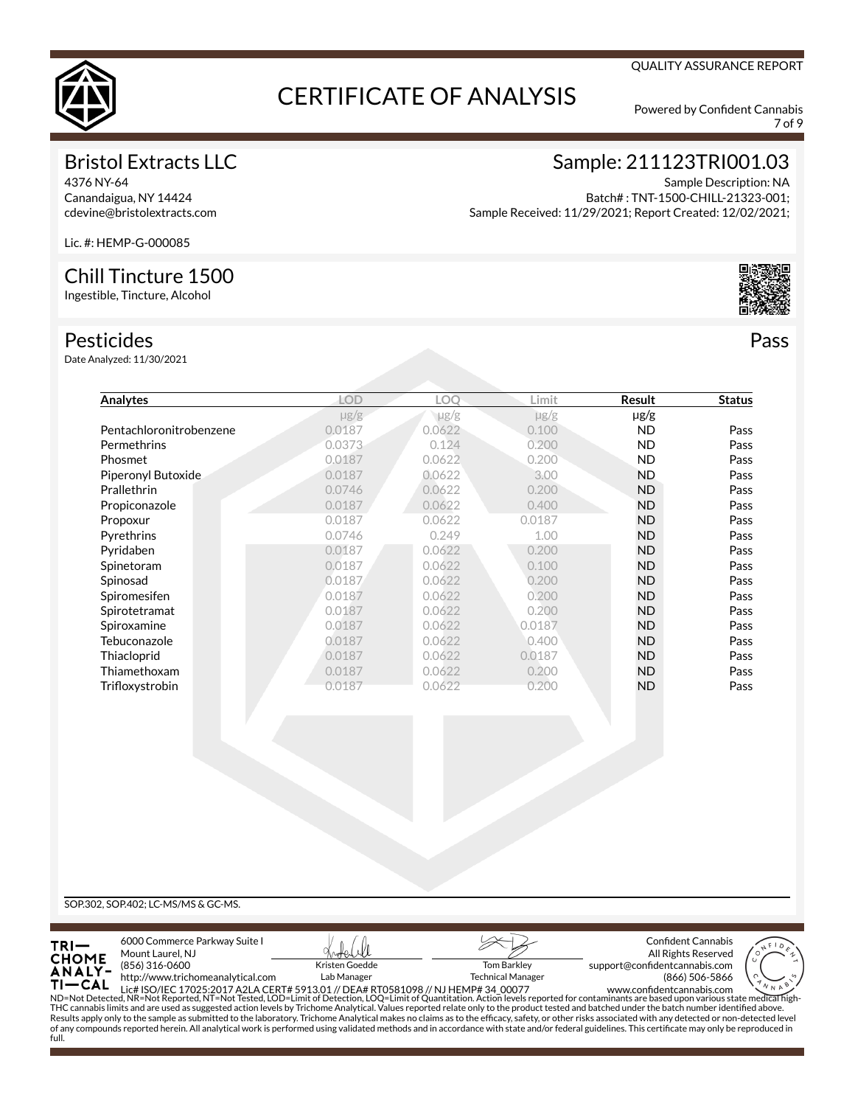

7 of 9

QUALITY ASSURANCE REPORT

## Bristol Extracts LLC

4376 NY-64 Canandaigua, NY 14424 cdevine@bristolextracts.com

# Sample: 211123TRI001.03

Sample Description: NA Batch# : TNT-1500-CHILL-21323-001; Sample Received: 11/29/2021; Report Created: 12/02/2021;

Lic. #: HEMP-G-000085

### Chill Tincture 1500

Ingestible, Tincture, Alcohol

#### Pesticides

Date Analyzed: 11/30/2021

| Analytes                | <b>LOD</b> | LOO    | Limit     | Result    | <b>Status</b> |
|-------------------------|------------|--------|-----------|-----------|---------------|
|                         | $\mu$ g/g  | µg/g   | $\mu$ g/g | $\mu$ g/g |               |
| Pentachloronitrobenzene | 0.0187     | 0.0622 | 0.100     | <b>ND</b> | Pass          |
| Permethrins             | 0.0373     | 0.124  | 0.200     | <b>ND</b> | Pass          |
| Phosmet                 | 0.0187     | 0.0622 | 0.200     | <b>ND</b> | Pass          |
| Piperonyl Butoxide      | 0.0187     | 0.0622 | 3.00      | <b>ND</b> | Pass          |
| Prallethrin             | 0.0746     | 0.0622 | 0.200     | <b>ND</b> | Pass          |
| Propiconazole           | 0.0187     | 0.0622 | 0.400     | <b>ND</b> | Pass          |
| Propoxur                | 0.0187     | 0.0622 | 0.0187    | <b>ND</b> | Pass          |
| Pyrethrins              | 0.0746     | 0.249  | 1.00      | <b>ND</b> | Pass          |
| Pyridaben               | 0.0187     | 0.0622 | 0.200     | <b>ND</b> | Pass          |
| Spinetoram              | 0.0187     | 0.0622 | 0.100     | <b>ND</b> | Pass          |
| Spinosad                | 0.0187     | 0.0622 | 0.200     | <b>ND</b> | Pass          |
| Spiromesifen            | 0.0187     | 0.0622 | 0.200     | <b>ND</b> | Pass          |
| Spirotetramat           | 0.0187     | 0.0622 | 0.200     | <b>ND</b> | Pass          |
| Spiroxamine             | 0.0187     | 0.0622 | 0.0187    | <b>ND</b> | Pass          |
| Tebuconazole            | 0.0187     | 0.0622 | 0.400     | <b>ND</b> | Pass          |
| Thiacloprid             | 0.0187     | 0.0622 | 0.0187    | <b>ND</b> | Pass          |
| Thiamethoxam            | 0.0187     | 0.0622 | 0.200     | <b>ND</b> | Pass          |
| Trifloxystrobin         | 0.0187     | 0.0622 | 0.200     | <b>ND</b> | Pass          |

SOP.302, SOP.402; LC-MS/MS & GC-MS.

full.



of any compounds reported herein. All analytical work is performed using validated methods and in accordance with state and/or federal guidelines. This certificate may only be reproduced in

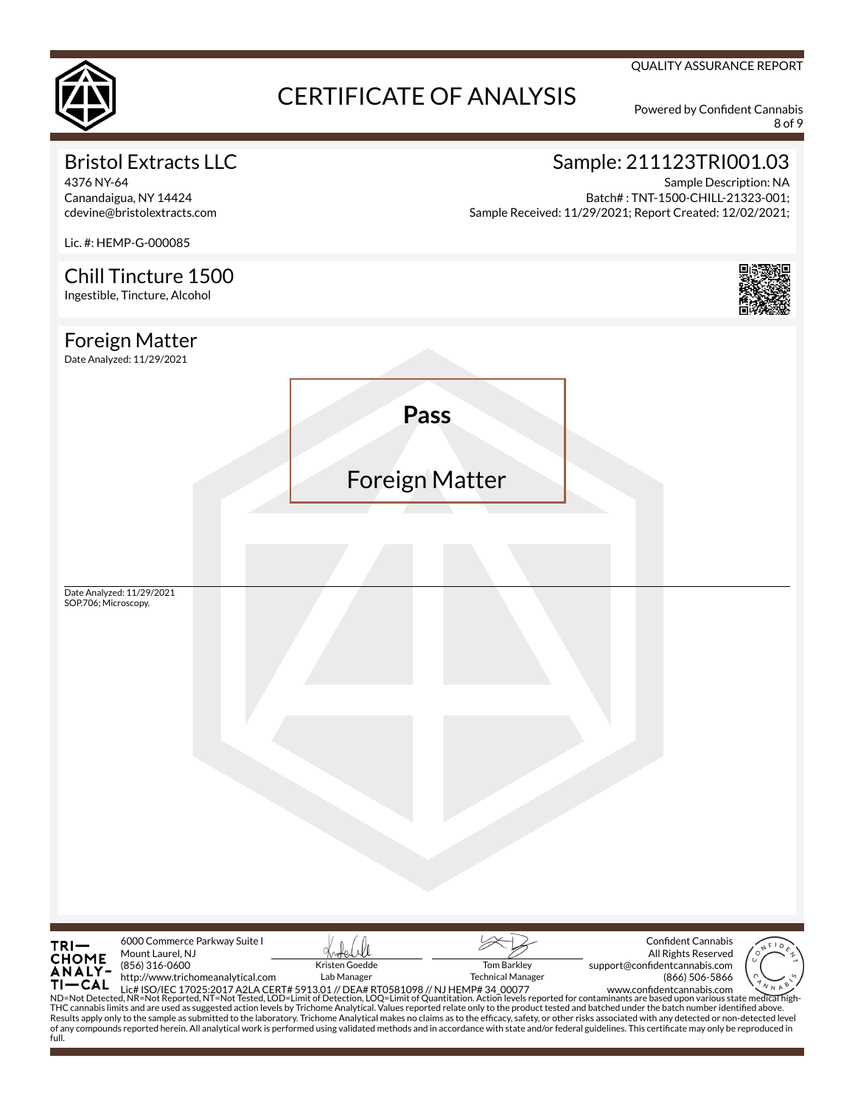

8 of 9

QUALITY ASSURANCE REPORT

# Bristol Extracts LLC

4376 NY-64 Canandaigua, NY 14424 cdevine@bristolextracts.com

# Sample: 211123TRI001.03

Sample Description: NA Batch# : TNT-1500-CHILL-21323-001; Sample Received: 11/29/2021; Report Created: 12/02/2021;

Lic. #: HEMP-G-000085 Chill Tincture 1500 Ingestible, Tincture, Alcohol Foreign Matter Date Analyzed: 11/29/2021 **Pass** Foreign Matter Date Analyzed: 11/29/2021 SOP.706; Microscopy. 6000 Commerce Parkway Suite I Confident Cannabis TRI-Mount Laurel, NJ All Rights Reserved **CHOME** (856) 316-0600 Kristen Goedde Tom Barkley support@confidentcannabis.com **ANALY**http://www.trichomeanalytical.com Lab Manager Technical Manager

(866) 506-5866

Tŀ -CAL THE Lict ISO/IEC 17025:2017 A2LA CERT# 5913.01 // DEA# RT0581098 // NJ HEMP# 34\_00077 www.confident cannabis.com<br>ND=Not Detected, NR=Not Reported, NT=Not Tested, LOD=Limit of Detection, LOQ=Limit of Quantitation. Action le www.confidentcannabis.com of any compounds reported herein. All analytical work is performed using validated methods and in accordance with state and/or federal guidelines. This certificate may only be reproduced in full.